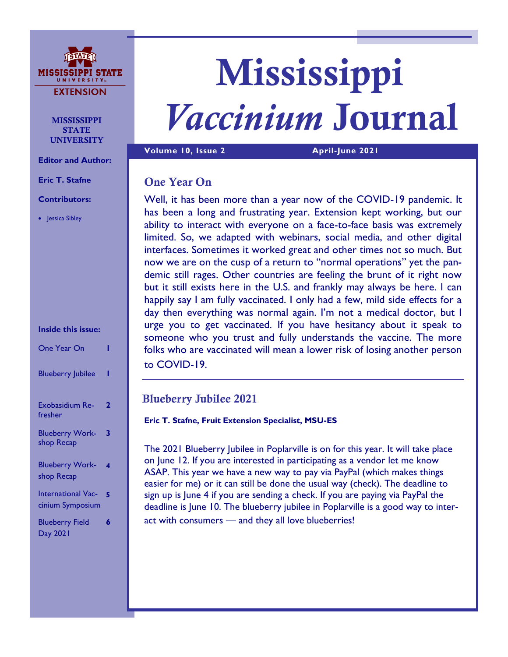

**MISSISSIPPI STATE** UNIVERSITY

**Editor and Author:**

**Eric T. Stafne**

### **Contributors:**

• Jessica Sibley

### **Inside this issue:**

| One Year On                                   |   |
|-----------------------------------------------|---|
| <b>Blueberry Jubilee</b>                      |   |
| Exobasidium Re-<br>fresher                    | 2 |
| <b>Blueberry Work-</b><br>shop Recap          | 3 |
| <b>Blueberry Work-</b><br>shop Recap          | 4 |
| <b>International Vac-</b><br>cinium Symposium | 5 |
| <b>Blueberry Field</b><br>Day 2021            | 6 |

# Mississippi *Vaccinium* Journal

**Volume 10, Issue 2 April-June 2021** 

### One Year On

Well, it has been more than a year now of the COVID-19 pandemic. It has been a long and frustrating year. Extension kept working, but our ability to interact with everyone on a face-to-face basis was extremely limited. So, we adapted with webinars, social media, and other digital interfaces. Sometimes it worked great and other times not so much. But now we are on the cusp of a return to "normal operations" yet the pandemic still rages. Other countries are feeling the brunt of it right now but it still exists here in the U.S. and frankly may always be here. I can happily say I am fully vaccinated. I only had a few, mild side effects for a day then everything was normal again. I'm not a medical doctor, but I urge you to get vaccinated. If you have hesitancy about it speak to someone who you trust and fully understands the vaccine. The more folks who are vaccinated will mean a lower risk of losing another person to COVID-19.

### Blueberry Jubilee 2021

**Eric T. Stafne, Fruit Extension Specialist, MSU-ES**

The 2021 Blueberry Jubilee in Poplarville is on for this year. It will take place on June 12. If you are interested in participating as a vendor let me know ASAP. This year we have a new way to pay via PayPal (which makes things easier for me) or it can still be done the usual way (check). The deadline to sign up is June 4 if you are sending a check. If you are paying via PayPal the deadline is June 10. The blueberry jubilee in Poplarville is a good way to interact with consumers — and they all love blueberries!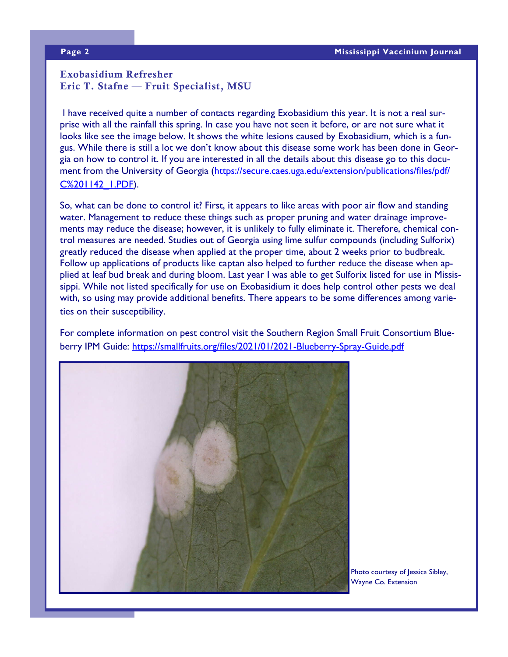### Exobasidium Refresher Eric T. Stafne — Fruit Specialist, MSU

I have received quite a number of contacts regarding Exobasidium this year. It is not a real surprise with all the rainfall this spring. In case you have not seen it before, or are not sure what it looks like see the image below. It shows the white lesions caused by Exobasidium, which is a fungus. While there is still a lot we don't know about this disease some work has been done in Georgia on how to control it. If you are interested in all the details about this disease go to this document from the University of Georgia ([https://secure.caes.uga.edu/extension/publications/files/pdf/](https://secure.caes.uga.edu/extension/publications/files/pdf/C%201142_1.PDF) [C%201142\\_1.PDF\).](https://secure.caes.uga.edu/extension/publications/files/pdf/C%201142_1.PDF)

So, what can be done to control it? First, it appears to like areas with poor air flow and standing water. Management to reduce these things such as proper pruning and water drainage improvements may reduce the disease; however, it is unlikely to fully eliminate it. Therefore, chemical control measures are needed. Studies out of Georgia using lime sulfur compounds (including Sulforix) greatly reduced the disease when applied at the proper time, about 2 weeks prior to budbreak. Follow up applications of products like captan also helped to further reduce the disease when applied at leaf bud break and during bloom. Last year I was able to get Sulforix listed for use in Mississippi. While not listed specifically for use on Exobasidium it does help control other pests we deal with, so using may provide additional benefits. There appears to be some differences among varieties on their susceptibility.

For complete information on pest control visit the Southern Region Small Fruit Consortium Blueberry IPM Guide:<https://smallfruits.org/files/2021/01/2021-Blueberry-Spray-Guide.pdf>



Photo courtesy of Jessica Sibley, Wayne Co. Extension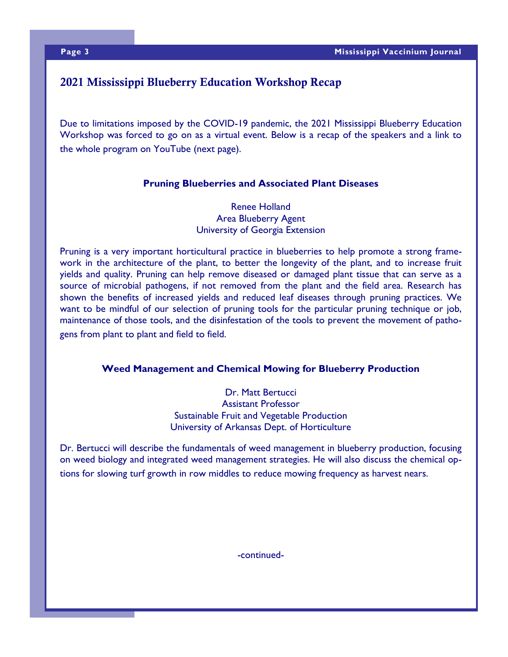### 2021 Mississippi Blueberry Education Workshop Recap

Due to limitations imposed by the COVID-19 pandemic, the 2021 Mississippi Blueberry Education Workshop was forced to go on as a virtual event. Below is a recap of the speakers and a link to the whole program on YouTube (next page).

### **Pruning Blueberries and Associated Plant Diseases**

Renee Holland Area Blueberry Agent University of Georgia Extension

Pruning is a very important horticultural practice in blueberries to help promote a strong framework in the architecture of the plant, to better the longevity of the plant, and to increase fruit yields and quality. Pruning can help remove diseased or damaged plant tissue that can serve as a source of microbial pathogens, if not removed from the plant and the field area. Research has shown the benefits of increased yields and reduced leaf diseases through pruning practices. We want to be mindful of our selection of pruning tools for the particular pruning technique or job, maintenance of those tools, and the disinfestation of the tools to prevent the movement of pathogens from plant to plant and field to field.

### **Weed Management and Chemical Mowing for Blueberry Production**

Dr. Matt Bertucci Assistant Professor Sustainable Fruit and Vegetable Production University of Arkansas Dept. of Horticulture

Dr. Bertucci will describe the fundamentals of weed management in blueberry production, focusing on weed biology and integrated weed management strategies. He will also discuss the chemical options for slowing turf growth in row middles to reduce mowing frequency as harvest nears.

-continued-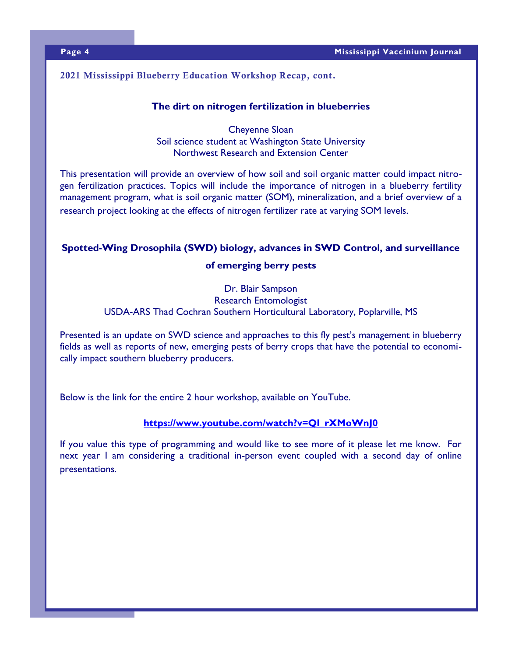### 2021 Mississippi Blueberry Education Workshop Recap, cont.

### **The dirt on nitrogen fertilization in blueberries**

Cheyenne Sloan Soil science student at Washington State University Northwest Research and Extension Center

This presentation will provide an overview of how soil and soil organic matter could impact nitrogen fertilization practices. Topics will include the importance of nitrogen in a blueberry fertility management program, what is soil organic matter (SOM), mineralization, and a brief overview of a research project looking at the effects of nitrogen fertilizer rate at varying SOM levels.

## **Spotted-Wing Drosophila (SWD) biology, advances in SWD Control, and surveillance**

### **of emerging berry pests**

Dr. Blair Sampson Research Entomologist USDA-ARS Thad Cochran Southern Horticultural Laboratory, Poplarville, MS

Presented is an update on SWD science and approaches to this fly pest's management in blueberry fields as well as reports of new, emerging pests of berry crops that have the potential to economically impact southern blueberry producers.

Below is the link for the entire 2 hour workshop, available on YouTube.

### **[https://www.youtube.com/watch?v=Ql\\_rXMoWnJ0](https://www.youtube.com/watch?v=Ql_rXMoWnJ0)**

If you value this type of programming and would like to see more of it please let me know. For next year I am considering a traditional in-person event coupled with a second day of online presentations.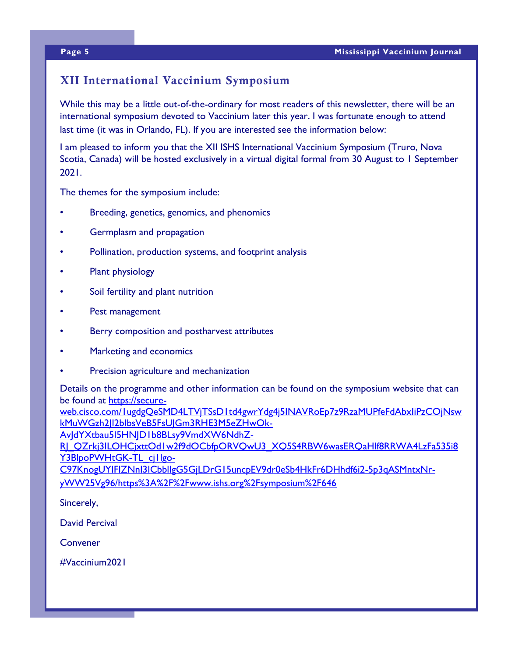### XII International Vaccinium Symposium

While this may be a little out-of-the-ordinary for most readers of this newsletter, there will be an international symposium devoted to Vaccinium later this year. I was fortunate enough to attend last time (it was in Orlando, FL). If you are interested see the information below:

I am pleased to inform you that the XII ISHS International Vaccinium Symposium (Truro, Nova Scotia, Canada) will be hosted exclusively in a virtual digital formal from 30 August to 1 September 2021.

The themes for the symposium include:

- Breeding, genetics, genomics, and phenomics
- Germplasm and propagation
- Pollination, production systems, and footprint analysis
- Plant physiology
- Soil fertility and plant nutrition
- Pest management
- Berry composition and postharvest attributes
- Marketing and economics
- Precision agriculture and mechanization

Details on the programme and other information can be found on the symposium website that can be found at [https://secure-](https://secure-web.cisco.com/1ugdgQeSMD4LTVjTSsD1td4gwrYdg4j5INAVRoEp7z9RzaMUPfeFdAbxIiPzCOjNswkMuWGzh2JI2bIbsVeB5FsUJGm3RHE3M5eZHwOk-AvJdYXtbau5I5HNJD1b8BLsy9VmdXW6NdhZ-RJ_QZrkj3ILOHCjxttOd1w2f9dOCbfpORVQwU3_XQ5S4RBW6wasERQaHlf8RRWA4LzFa535i8Y3BlpoPWHtGK-)

[web.cisco.com/1ugdgQeSMD4LTVjTSsD1td4gwrYdg4j5INAVRoEp7z9RzaMUPfeFdAbxIiPzCOjNsw](https://secure-web.cisco.com/1ugdgQeSMD4LTVjTSsD1td4gwrYdg4j5INAVRoEp7z9RzaMUPfeFdAbxIiPzCOjNswkMuWGzh2JI2bIbsVeB5FsUJGm3RHE3M5eZHwOk-AvJdYXtbau5I5HNJD1b8BLsy9VmdXW6NdhZ-RJ_QZrkj3ILOHCjxttOd1w2f9dOCbfpORVQwU3_XQ5S4RBW6wasERQaHlf8RRWA4LzFa535i8Y3BlpoPWHtGK-) [kMuWGzh2JI2bIbsVeB5FsUJGm3RHE3M5eZHwOk-](https://secure-web.cisco.com/1ugdgQeSMD4LTVjTSsD1td4gwrYdg4j5INAVRoEp7z9RzaMUPfeFdAbxIiPzCOjNswkMuWGzh2JI2bIbsVeB5FsUJGm3RHE3M5eZHwOk-AvJdYXtbau5I5HNJD1b8BLsy9VmdXW6NdhZ-RJ_QZrkj3ILOHCjxttOd1w2f9dOCbfpORVQwU3_XQ5S4RBW6wasERQaHlf8RRWA4LzFa535i8Y3BlpoPWHtGK-)

[AvJdYXtbau5I5HNJD1b8BLsy9VmdXW6NdhZ-](https://secure-web.cisco.com/1ugdgQeSMD4LTVjTSsD1td4gwrYdg4j5INAVRoEp7z9RzaMUPfeFdAbxIiPzCOjNswkMuWGzh2JI2bIbsVeB5FsUJGm3RHE3M5eZHwOk-AvJdYXtbau5I5HNJD1b8BLsy9VmdXW6NdhZ-RJ_QZrkj3ILOHCjxttOd1w2f9dOCbfpORVQwU3_XQ5S4RBW6wasERQaHlf8RRWA4LzFa535i8Y3BlpoPWHtGK-)

RI\_QZrkj3ILOHCjxttOd1w2f9dOCbfpORVQwU3\_XQ5S4RBW6wasERQaHlf8RRWA4LzFa535i8 [Y3BlpoPWHtGK-TL\\_cj1lgo-](https://secure-web.cisco.com/1ugdgQeSMD4LTVjTSsD1td4gwrYdg4j5INAVRoEp7z9RzaMUPfeFdAbxIiPzCOjNswkMuWGzh2JI2bIbsVeB5FsUJGm3RHE3M5eZHwOk-AvJdYXtbau5I5HNJD1b8BLsy9VmdXW6NdhZ-RJ_QZrkj3ILOHCjxttOd1w2f9dOCbfpORVQwU3_XQ5S4RBW6wasERQaHlf8RRWA4LzFa535i8Y3BlpoPWHtGK-)

[C97KnogUYIFIZNnI3ICbblIgG5GjLDrG15uncpEV9dr0eSb4HkFr6DHhdf6i2-5p3qASMntxNr](https://secure-web.cisco.com/1ugdgQeSMD4LTVjTSsD1td4gwrYdg4j5INAVRoEp7z9RzaMUPfeFdAbxIiPzCOjNswkMuWGzh2JI2bIbsVeB5FsUJGm3RHE3M5eZHwOk-AvJdYXtbau5I5HNJD1b8BLsy9VmdXW6NdhZ-RJ_QZrkj3ILOHCjxttOd1w2f9dOCbfpORVQwU3_XQ5S4RBW6wasERQaHlf8RRWA4LzFa535i8Y3BlpoPWHtGK-)[yWW25Vg96/https%3A%2F%2Fwww.ishs.org%2Fsymposium%2F646](https://secure-web.cisco.com/1ugdgQeSMD4LTVjTSsD1td4gwrYdg4j5INAVRoEp7z9RzaMUPfeFdAbxIiPzCOjNswkMuWGzh2JI2bIbsVeB5FsUJGm3RHE3M5eZHwOk-AvJdYXtbau5I5HNJD1b8BLsy9VmdXW6NdhZ-RJ_QZrkj3ILOHCjxttOd1w2f9dOCbfpORVQwU3_XQ5S4RBW6wasERQaHlf8RRWA4LzFa535i8Y3BlpoPWHtGK-)

Sincerely,

David Percival

**Convener** 

#Vaccinium2021